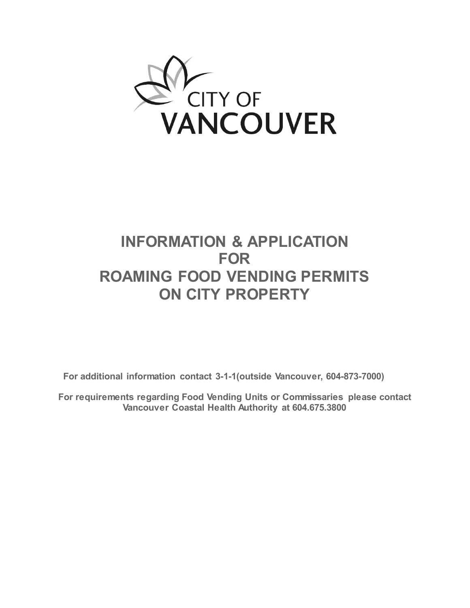

## **INFORMATION & APPLICATION FOR ROAMING FOOD VENDING PERMITS ON CITY PROPERTY**

**For additional information contact 3-1-1(outside Vancouver, 604-873-7000)**

**For requirements regarding Food Vending Units or Commissaries please contact Vancouver Coastal Health Authority at 604.675.3800**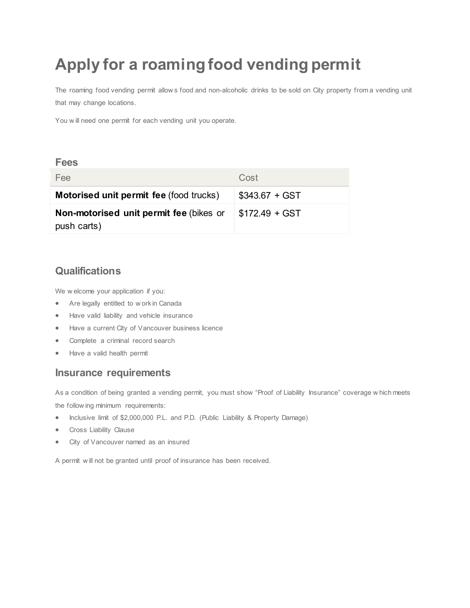# **Apply for a roaming food vending permit**

The roaming food vending permit allow s food and non-alcoholic drinks to be sold on City property from a vending unit that may change locations.

You w ill need one permit for each vending unit you operate.

#### **Fees**

| Fee                                                    | Cost            |
|--------------------------------------------------------|-----------------|
| <b>Motorised unit permit fee (food trucks)</b>         | $$343.67 + GST$ |
| Non-motorised unit permit fee (bikes or<br>push carts) | $$172.49 + GST$ |

## **Qualifications**

We w elcome your application if you:

- Are legally entitled to w ork in Canada
- Have valid liability and vehicle insurance
- Have a current City of Vancouver business licence
- Complete a criminal record search
- Have a valid health permit

#### **Insurance requirements**

As a condition of being granted a vending permit, you must show "Proof of Liability Insurance" coverage w hich meets the follow ing minimum requirements:

- Inclusive limit of \$2,000,000 P.L. and P.D. (Public Liability & Property Damage)
- Cross Liability Clause
- City of Vancouver named as an insured

A permit w ill not be granted until proof of insurance has been received.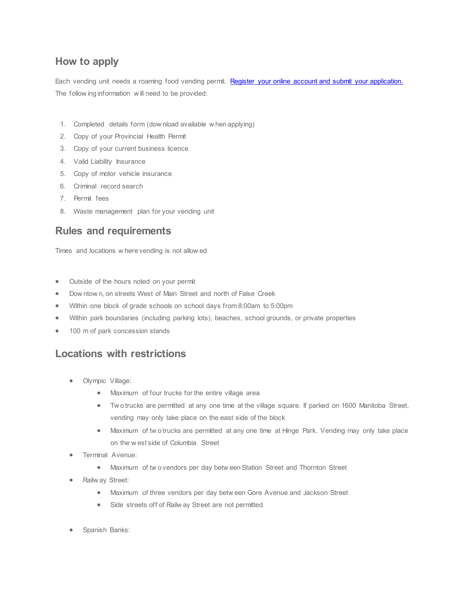## **How to apply**

Each vending unit needs a roaming food vending permit. [Register your online account and submit your application.](http://vancouver.ca/permits/apply/Login.aspx) The follow ing information w ill need to be provided:

- 1. Completed details form (dow nload available w hen applying)
- 2. Copy of your Provincial Health Permit
- 3. Copy of your current business licence
- 4. Valid Liability Insurance
- 5. Copy of motor vehicle insurance
- 6. Criminal record search
- 7. Permit fees
- 8. Waste management plan for your vending unit

## **Rules and requirements**

Times and locations w here vending is not allow ed

- Outside of the hours noted on your permit
- Dow ntow n, on streets West of Main Street and north of False Creek
- Within one block of grade schools on school days from 8:00am to 5:00pm
- Within park boundaries (including parking lots), beaches, school grounds, or private properties
- 100 m of park concession stands

## **Locations with restrictions**

- Olympic Village:
	- Maximum of four trucks for the entire village area
	- Tw o trucks are permitted at any one time at the village square. If parked on 1600 Manitoba Street, vending may only take place on the east side of the block
	- Maximum of tw o trucks are permitted at any one time at Hinge Park. Vending may only take place on the w est side of Columbia Street
- Terminal Avenue:
	- Maximum of tw o vendors per day betw een Station Street and Thornton Street
- Railw ay Street:
	- Maximum of three vendors per day betw een Gore Avenue and Jackson Street
	- Side streets off of Railw ay Street are not permitted.
- Spanish Banks: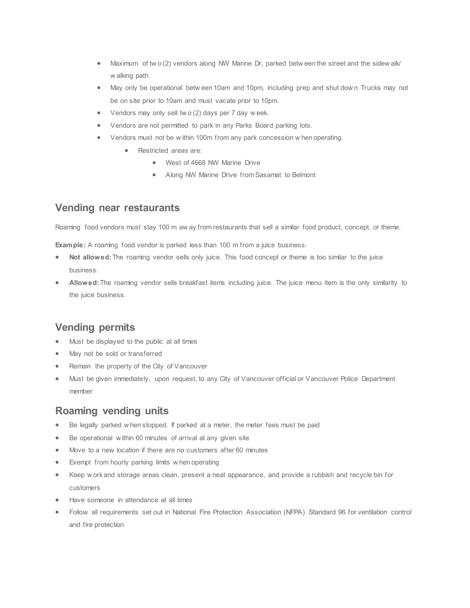- Maximum of two (2) vendors along NW Marine Dr, parked betw een the street and the sidew alk/ w alking path.
- May only be operational betw een 10am and 10pm, including prep and shut dow n. Trucks may not be on site prior to 10am and must vacate prior to 10pm.
- Vendors may only sell tw o (2) days per 7 day w eek.
- Vendors are not permitted to park in any Parks Board parking lots.
- Vendors must not be w ithin 100m from any park concession w hen operating.
	- Restricted areas are:
		- West of 4668 NW Marine Drive
		- Along NW Marine Drive from Sasamat to Belmont

#### **Vending near restaurants**

Roaming food vendors must stay 100 m aw ay from restaurants that sell a similar food product, concept, or theme.

**Example:** A roaming food vendor is parked less than 100 m from a juice business.

- **Not allowed:**The roaming vendor sells only juice. This food concept or theme is too similar to the juice business.
- **Allowed:**The roaming vendor sells breakfast items including juice. The juice menu item is the only similarity to the juice business.

## **Vending permits**

- Must be displayed to the public at all times
- May not be sold or transferred
- Remain the property of the City of Vancouver
- Must be given immediately, upon request, to any City of Vancouver official or Vancouver Police Department member

## **Roaming vending units**

- Be legally parked w hen stopped. If parked at a meter, the meter fees must be paid
- Be operational within 60 minutes of arrival at any given site
- Move to a new location if there are no customers after 60 minutes
- Exempt from hourly parking limits w hen operating
- Keep w ork and storage areas clean, present a neat appearance, and provide a rubbish and recycle bin for customers
- Have someone in attendance at all times
- Follow all requirements set out in [National Fire Protection Association \(NFPA\) Standard](http://www.nfpa.org/codes-and-standards/document-information-pages?mode=code&code=96) 96 for ventilation control [and fire protection](http://www.nfpa.org/codes-and-standards/document-information-pages?mode=code&code=96)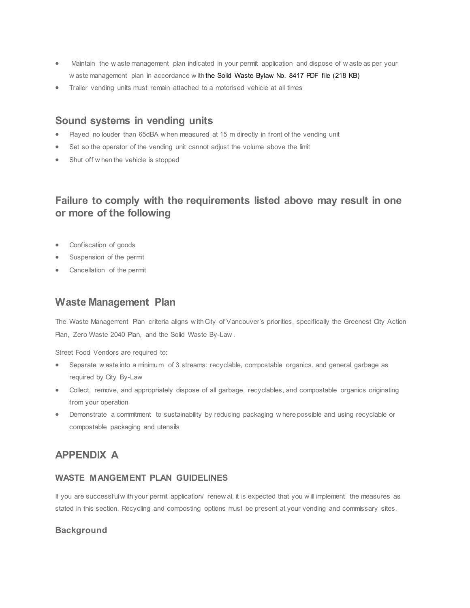- Maintain the w aste management plan indicated in your permit application and dispose of w aste as per your w aste management plan in accordance w ith the [Solid Waste Bylaw No. 8417](http://bylaws.vancouver.ca/8417c.PDF) PDF file (218 KB)
- Trailer vending units must remain attached to a motorised vehicle at all times

### **Sound systems in vending units**

- Played no louder than 65dBA w hen measured at 15 m directly in front of the vending unit
- Set so the operator of the vending unit cannot adjust the volume above the limit
- Shut off w hen the vehicle is stopped

## **Failure to comply with the requirements listed above may result in one or more of the following**

- Confiscation of goods
- Suspension of the permit
- Cancellation of the permit

#### **Waste Management Plan**

The Waste Management Plan criteria aligns w ith City of Vancouver's priorities, specifically the Greenest City Action Plan, Zero Waste 2040 Plan, and the Solid Waste By-Law .

Street Food Vendors are required to:

- Separate w aste into a minimum of 3 streams: recyclable, compostable organics, and general garbage as required by City By-Law
- Collect, remove, and appropriately dispose of all garbage, recyclables, and compostable organics originating from your operation
- Demonstrate a commitment to sustainability by reducing packaging w here possible and using recyclable or compostable packaging and utensils

## **APPENDIX A**

#### **WASTE MANGEMENT PLAN GUIDELINES**

If you are successful w ith your permit application/ renew al, it is expected that you w ill implement the measures as stated in this section. Recycling and composting options must be present at your vending and commissary sites.

#### **Background**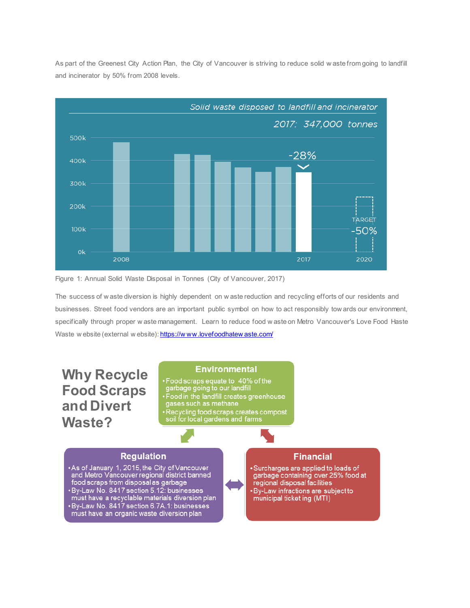

As part of the Greenest City Action Plan, the City of Vancouver is striving to reduce solid w aste from going to landfill and incinerator by 50% from 2008 levels.



The success of w aste diversion is highly dependent on w aste reduction and recycling efforts of our residents and businesses. Street food vendors are an important public symbol on how to act responsibly tow ards our environment, specifically through proper w aste management. Learn to reduce food w aste on Metro Vancouver's Love Food Haste Waste w ebsite (external w ebsite): https://www.lovefoodhatew aste.com/

**Why Recycle Food Scraps and Divert Waste?**

#### **Environmental**

• Food scraps equate to 40% of the<br>garbage going to our landfill<br>• Food in the landfill creates greenhouse<br>gases such as methane • Recycling food scraps creates compost<br>soil for local gardens and farms

#### **Regulation**

• As of January 1, 2015, the City of Vancouver<br>and Metro Vancouver regional district banned<br>food scraps from disposal as garbage<br>• By-Law No. 8417 section 5.12: businesses<br>must have a recyclable materials diversion plan<br>•

#### **Financial**

· Surcharges are applied to loads of Surcharges are applied to loads of<br>garbage containing over 25% food at<br>regional disposal facilities · By-Law infractions are subject to municipal ticket ing (MTI)